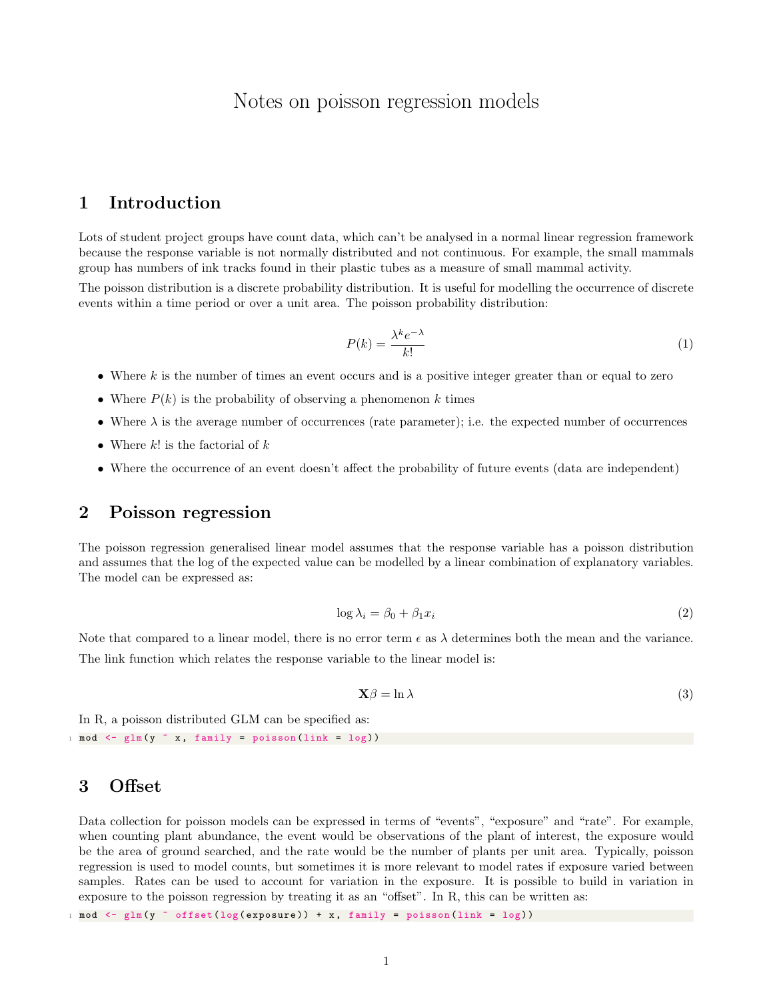# Notes on poisson regression models

### 1 Introduction

Lots of student project groups have count data, which can't be analysed in a normal linear regression framework because the response variable is not normally distributed and not continuous. For example, the small mammals group has numbers of ink tracks found in their plastic tubes as a measure of small mammal activity.

The poisson distribution is a discrete probability distribution. It is useful for modelling the occurrence of discrete events within a time period or over a unit area. The poisson probability distribution:

$$
P(k) = \frac{\lambda^k e^{-\lambda}}{k!}
$$
 (1)

- Where  $k$  is the number of times an event occurs and is a positive integer greater than or equal to zero
- Where  $P(k)$  is the probability of observing a phenomenon k times
- Where  $\lambda$  is the average number of occurrences (rate parameter); i.e. the expected number of occurrences
- Where  $k!$  is the factorial of  $k$
- Where the occurrence of an event doesn't affect the probability of future events (data are independent)

#### 2 Poisson regression

The poisson regression generalised linear model assumes that the response variable has a poisson distribution and assumes that the log of the expected value can be modelled by a linear combination of explanatory variables. The model can be expressed as:

$$
\log \lambda_i = \beta_0 + \beta_1 x_i \tag{2}
$$

Note that compared to a linear model, there is no error term  $\epsilon$  as  $\lambda$  determines both the mean and the variance. The link function which relates the response variable to the linear model is:

$$
\mathbf{X}\beta = \ln \lambda \tag{3}
$$

In R, a poisson distributed GLM can be specified as:  $1 \mod \le - \text{glm} (y \text{ x}, \text{ family = poisson} ( \text{link} = \text{log} ) )$ 

#### 3 Offset

Data collection for poisson models can be expressed in terms of "events", "exposure" and "rate". For example, when counting plant abundance, the event would be observations of the plant of interest, the exposure would be the area of ground searched, and the rate would be the number of plants per unit area. Typically, poisson regression is used to model counts, but sometimes it is more relevant to model rates if exposure varied between samples. Rates can be used to account for variation in the exposure. It is possible to build in variation in exposure to the poisson regression by treating it as an "offset". In R, this can be written as:

 $1 \mod \leq$   $\text{dim(y)} \leq \text{offset(log(exposure)}) + x$ , family = poisson(link = log))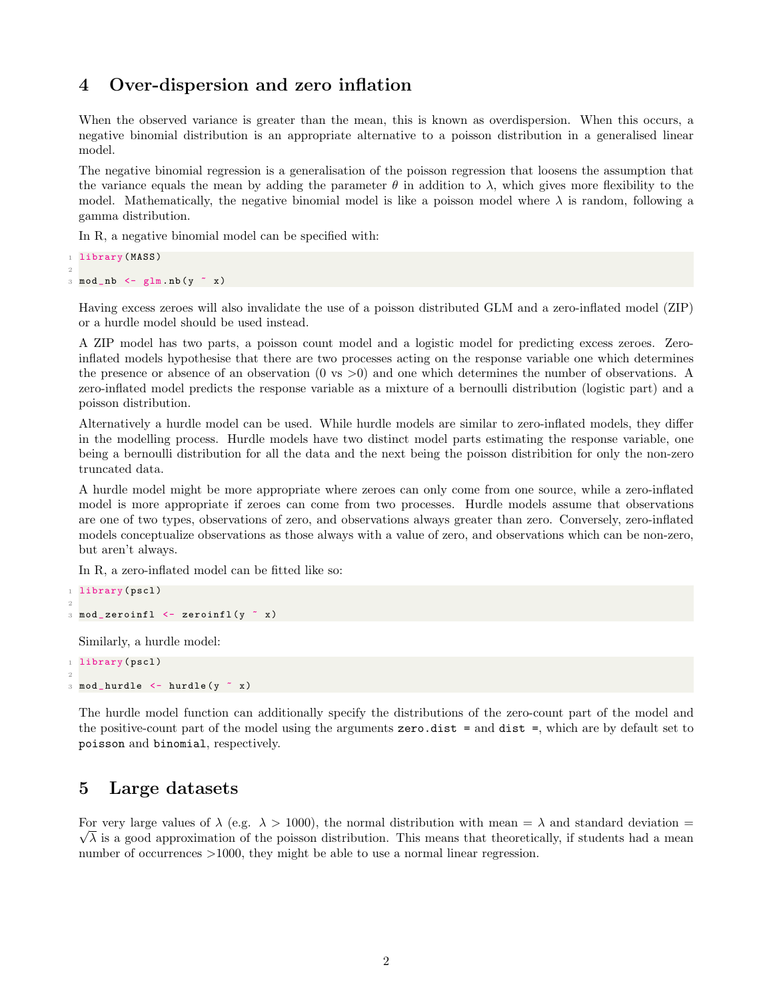#### 4 Over-dispersion and zero inflation

When the observed variance is greater than the mean, this is known as overdispersion. When this occurs, a negative binomial distribution is an appropriate alternative to a poisson distribution in a generalised linear model.

The negative binomial regression is a generalisation of the poisson regression that loosens the assumption that the variance equals the mean by adding the parameter  $\theta$  in addition to  $\lambda$ , which gives more flexibility to the model. Mathematically, the negative binomial model is like a poisson model where  $\lambda$  is random, following a gamma distribution.

In R, a negative binomial model can be specified with:

```
1 library (MASS)
2
3 \mod_n b \leq - \text{glm.nb}(y \text{ x})
```
Having excess zeroes will also invalidate the use of a poisson distributed GLM and a zero-inflated model (ZIP) or a hurdle model should be used instead.

A ZIP model has two parts, a poisson count model and a logistic model for predicting excess zeroes. Zeroinflated models hypothesise that there are two processes acting on the response variable one which determines the presence or absence of an observation (0 vs >0) and one which determines the number of observations. A zero-inflated model predicts the response variable as a mixture of a bernoulli distribution (logistic part) and a poisson distribution.

Alternatively a hurdle model can be used. While hurdle models are similar to zero-inflated models, they differ in the modelling process. Hurdle models have two distinct model parts estimating the response variable, one being a bernoulli distribution for all the data and the next being the poisson distribition for only the non-zero truncated data.

A hurdle model might be more appropriate where zeroes can only come from one source, while a zero-inflated model is more appropriate if zeroes can come from two processes. Hurdle models assume that observations are one of two types, observations of zero, and observations always greater than zero. Conversely, zero-inflated models conceptualize observations as those always with a value of zero, and observations which can be non-zero, but aren't always.

In R, a zero-inflated model can be fitted like so:

```
1 library (pscl)
2
3 \mod zeroinfl \leftarrow zeroinfl (y \sim x)Similarly, a hurdle model:
```

```
1 library (pscl)
2
3 \mod_hurdle <- hurdle (y \sim x)
```
The hurdle model function can additionally specify the distributions of the zero-count part of the model and the positive-count part of the model using the arguments zero.dist = and dist =, which are by default set to poisson and binomial, respectively.

## 5 Large datasets

For very large values of  $\lambda$  (e.g.  $\lambda > 1000$ ), the normal distribution with mean =  $\lambda$  and standard deviation =  $\sqrt{\lambda}$  is a good approximation of the poisson distribution. This means that theoretically, if students had a mean number of occurrences  $>1000$ , they might be able to use a normal linear regression.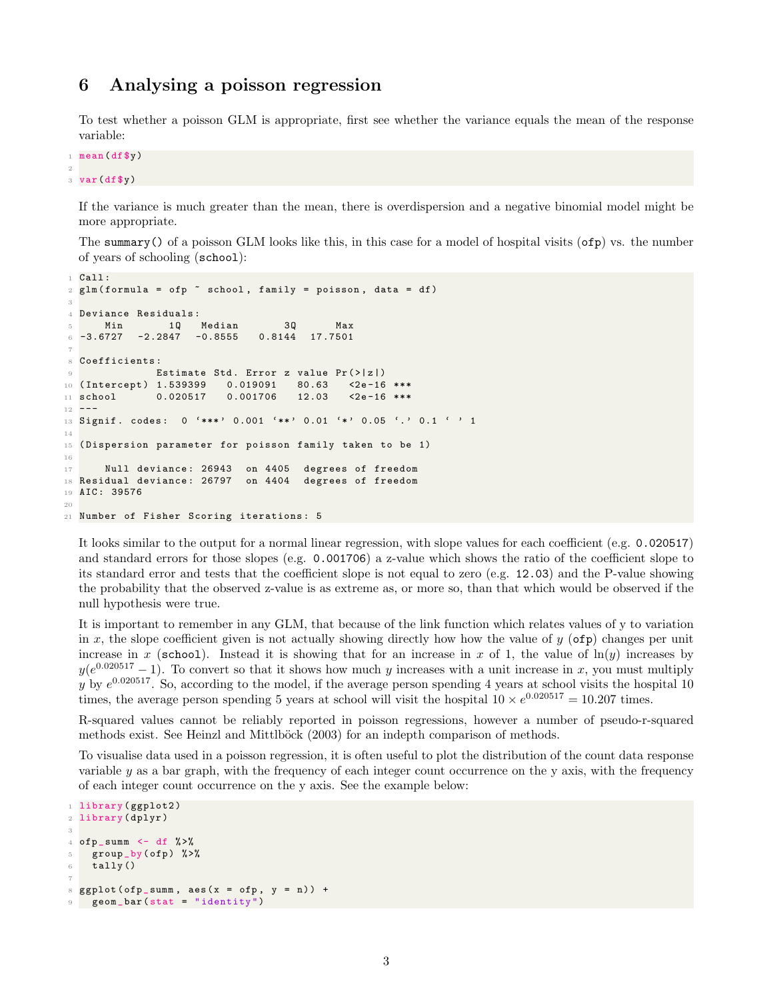#### 6 Analysing a poisson regression

To test whether a poisson GLM is appropriate, first see whether the variance equals the mean of the response variable:

```
1 mean (df$y)
\overline{2}3 var (df$y)
```
If the variance is much greater than the mean, there is overdispersion and a negative binomial model might be more appropriate.

The summary() of a poisson GLM looks like this, in this case for a model of hospital visits (ofp) vs. the number of years of schooling (school):

```
1 Call:
2 \text{ glm} (formula = ofp \tilde{ } school, family = poisson, data = df)
 3
4 Deviance Residuals :
5 Min 1Q Median 3Q Max
6 -3.6727 -2.2847 -0.8555 0.8144 17.75017
8 Coefficients :
9 Estimate Std. Error z value Pr (>|z|)
10 ( Intercept ) 1.539399 0.019091 80.63 <2e -16 ***
11 school 0.020517 0.001706 12.03 <2e-16 ***
12 - -13 Signif. codes: 0 '***' 0.001 '**' 0.01 '*' 0.05 '.' 0.1 ' ' 1
14
15 ( Dispersion parameter for poisson family taken to be 1)
16
17 Null deviance: 26943 on 4405 degrees of freedom
18 Residual deviance: 26797 on 4404 degrees of freedom
19 AIC : 39576
2021 Number of Fisher Scoring iterations: 5
```
It looks similar to the output for a normal linear regression, with slope values for each coefficient (e.g. 0.020517) and standard errors for those slopes (e.g. 0.001706) a z-value which shows the ratio of the coefficient slope to its standard error and tests that the coefficient slope is not equal to zero (e.g. 12.03) and the P-value showing the probability that the observed z-value is as extreme as, or more so, than that which would be observed if the null hypothesis were true.

It is important to remember in any GLM, that because of the link function which relates values of y to variation in x, the slope coefficient given is not actually showing directly how how the value of  $y$  (ofp) changes per unit increase in x (school). Instead it is showing that for an increase in x of 1, the value of  $ln(y)$  increases by  $y(e^{0.020517}-1)$ . To convert so that it shows how much y increases with a unit increase in x, you must multiply y by  $e^{0.020517}$ . So, according to the model, if the average person spending 4 years at school visits the hospital 10 times, the average person spending 5 years at school will visit the hospital  $10 \times e^{0.020517} = 10.207$  times.

R-squared values cannot be reliably reported in poisson regressions, however a number of pseudo-r-squared methods exist. See Heinzl and Mittlböck (2003) for an indepth comparison of methods.

To visualise data used in a poisson regression, it is often useful to plot the distribution of the count data response variable y as a bar graph, with the frequency of each integer count occurrence on the y axis, with the frequency of each integer count occurrence on the y axis. See the example below:

```
1 library (ggplot2)
2 library ( dplyr )
3
4 ofp_summ \leftarrow df \left\langle \cdot \right\rangle \right\langle \cdot \right\rangle5 group_by(ofp) %>%
6 tally ()
7
8 \text{ ggplot} (of p\_sum, aes (x = of p, y = n)) +9 geom _ bar ( stat = " identity ")
```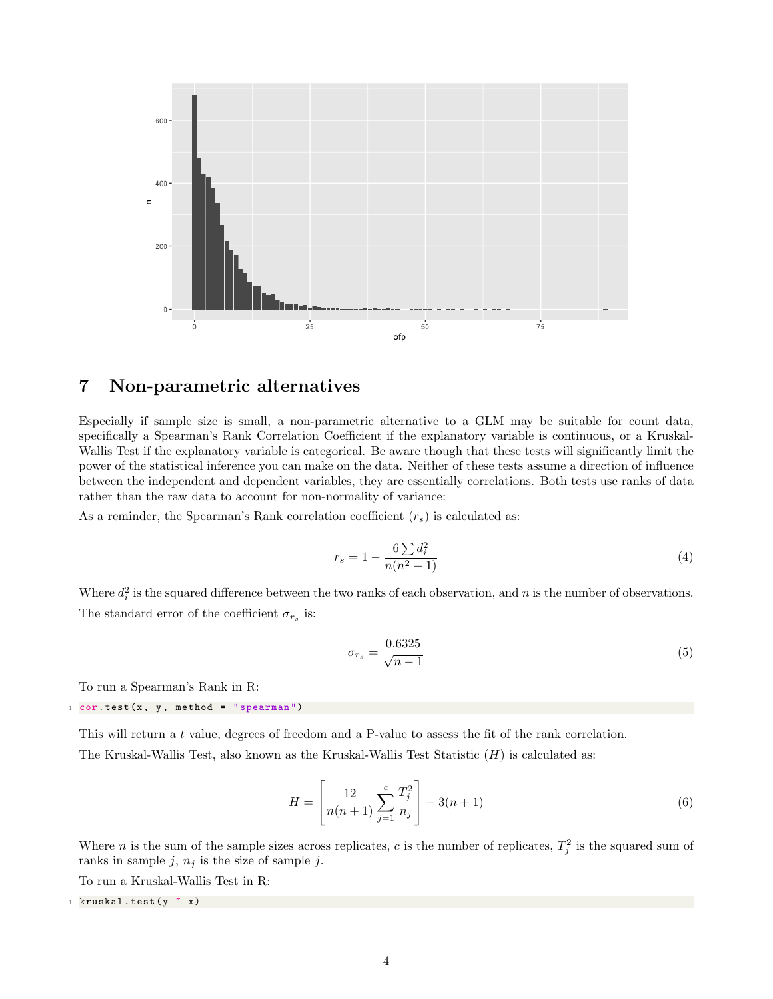

### 7 Non-parametric alternatives

Especially if sample size is small, a non-parametric alternative to a GLM may be suitable for count data, specifically a Spearman's Rank Correlation Coefficient if the explanatory variable is continuous, or a Kruskal-Wallis Test if the explanatory variable is categorical. Be aware though that these tests will significantly limit the power of the statistical inference you can make on the data. Neither of these tests assume a direction of influence between the independent and dependent variables, they are essentially correlations. Both tests use ranks of data rather than the raw data to account for non-normality of variance:

As a reminder, the Spearman's Rank correlation coefficient  $(r_s)$  is calculated as:

$$
r_s = 1 - \frac{6\sum d_i^2}{n(n^2 - 1)}\tag{4}
$$

Where  $d_i^2$  is the squared difference between the two ranks of each observation, and n is the number of observations. The standard error of the coefficient  $\sigma_{r_s}$  is:

$$
\sigma_{r_s} = \frac{0.6325}{\sqrt{n-1}}\tag{5}
$$

To run a Spearman's Rank in R:

```
1 cor . test (x, y, method = "spearman")
```
This will return a t value, degrees of freedom and a P-value to assess the fit of the rank correlation.

The Kruskal-Wallis Test, also known as the Kruskal-Wallis Test Statistic  $(H)$  is calculated as:

$$
H = \left[\frac{12}{n(n+1)} \sum_{j=1}^{c} \frac{T_j^2}{n_j}\right] - 3(n+1)
$$
\n(6)

Where *n* is the sum of the sample sizes across replicates, *c* is the number of replicates,  $T_j^2$  is the squared sum of ranks in sample j,  $n_j$  is the size of sample j.

To run a Kruskal-Wallis Test in R:

1 kruskal.test (y ~ x)